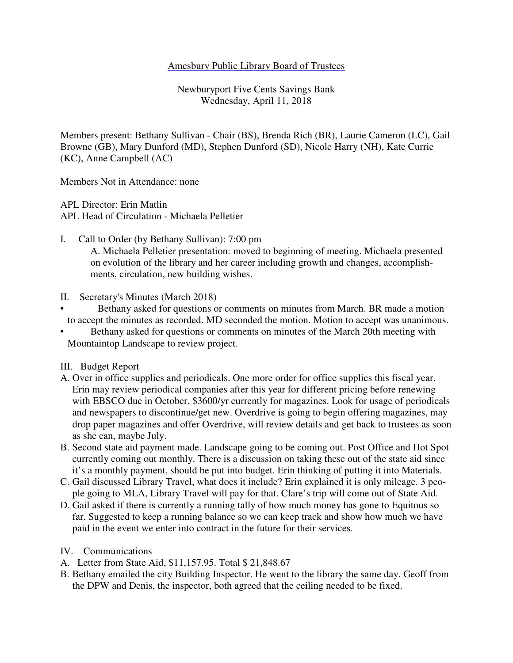### Amesbury Public Library Board of Trustees

Newburyport Five Cents Savings Bank Wednesday, April 11, 2018

Members present: Bethany Sullivan - Chair (BS), Brenda Rich (BR), Laurie Cameron (LC), Gail Browne (GB), Mary Dunford (MD), Stephen Dunford (SD), Nicole Harry (NH), Kate Currie (KC), Anne Campbell (AC)

Members Not in Attendance: none

APL Director: Erin Matlin APL Head of Circulation - Michaela Pelletier

I. Call to Order (by Bethany Sullivan): 7:00 pm A. Michaela Pelletier presentation: moved to beginning of meeting. Michaela presented on evolution of the library and her career including growth and changes, accomplish-

ments, circulation, new building wishes.

- II. Secretary's Minutes (March 2018)
- Bethany asked for questions or comments on minutes from March. BR made a motion to accept the minutes as recorded. MD seconded the motion. Motion to accept was unanimous.
- Bethany asked for questions or comments on minutes of the March 20th meeting with Mountaintop Landscape to review project.

III. Budget Report

- A. Over in office supplies and periodicals. One more order for office supplies this fiscal year. Erin may review periodical companies after this year for different pricing before renewing with EBSCO due in October. \$3600/yr currently for magazines. Look for usage of periodicals and newspapers to discontinue/get new. Overdrive is going to begin offering magazines, may drop paper magazines and offer Overdrive, will review details and get back to trustees as soon as she can, maybe July.
- B. Second state aid payment made. Landscape going to be coming out. Post Office and Hot Spot currently coming out monthly. There is a discussion on taking these out of the state aid since it's a monthly payment, should be put into budget. Erin thinking of putting it into Materials.
- C. Gail discussed Library Travel, what does it include? Erin explained it is only mileage. 3 people going to MLA, Library Travel will pay for that. Clare's trip will come out of State Aid.
- D. Gail asked if there is currently a running tally of how much money has gone to Equitous so far. Suggested to keep a running balance so we can keep track and show how much we have paid in the event we enter into contract in the future for their services.
- IV. Communications
- A. Letter from State Aid, \$11,157.95. Total \$ 21,848.67
- B. Bethany emailed the city Building Inspector. He went to the library the same day. Geoff from the DPW and Denis, the inspector, both agreed that the ceiling needed to be fixed.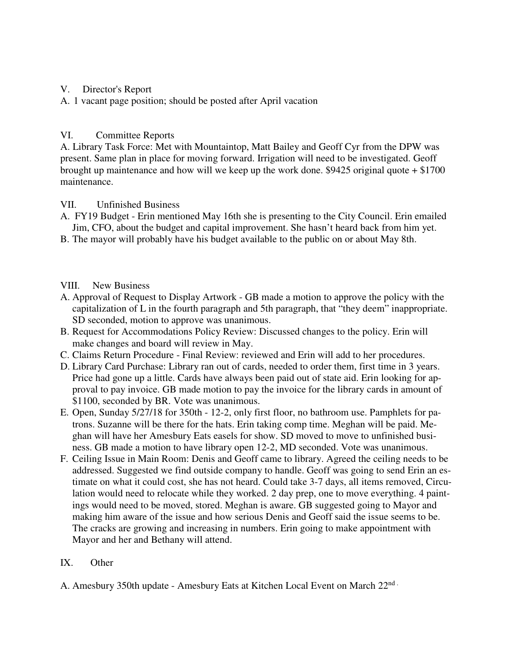### V. Director's Report

A. 1 vacant page position; should be posted after April vacation

# VI. Committee Reports

A. Library Task Force: Met with Mountaintop, Matt Bailey and Geoff Cyr from the DPW was present. Same plan in place for moving forward. Irrigation will need to be investigated. Geoff brought up maintenance and how will we keep up the work done.  $$9425$  original quote  $+ $1700$ maintenance.

## VII. Unfinished Business

- A. FY19 Budget Erin mentioned May 16th she is presenting to the City Council. Erin emailed Jim, CFO, about the budget and capital improvement. She hasn't heard back from him yet.
- B. The mayor will probably have his budget available to the public on or about May 8th.

#### VIII. New Business

- A. Approval of Request to Display Artwork GB made a motion to approve the policy with the capitalization of L in the fourth paragraph and 5th paragraph, that "they deem" inappropriate. SD seconded, motion to approve was unanimous.
- B. Request for Accommodations Policy Review: Discussed changes to the policy. Erin will make changes and board will review in May.
- C. Claims Return Procedure Final Review: reviewed and Erin will add to her procedures.
- D. Library Card Purchase: Library ran out of cards, needed to order them, first time in 3 years. Price had gone up a little. Cards have always been paid out of state aid. Erin looking for approval to pay invoice. GB made motion to pay the invoice for the library cards in amount of \$1100, seconded by BR. Vote was unanimous.
- E. Open, Sunday 5/27/18 for 350th 12-2, only first floor, no bathroom use. Pamphlets for patrons. Suzanne will be there for the hats. Erin taking comp time. Meghan will be paid. Meghan will have her Amesbury Eats easels for show. SD moved to move to unfinished business. GB made a motion to have library open 12-2, MD seconded. Vote was unanimous.
- F. Ceiling Issue in Main Room: Denis and Geoff came to library. Agreed the ceiling needs to be addressed. Suggested we find outside company to handle. Geoff was going to send Erin an estimate on what it could cost, she has not heard. Could take 3-7 days, all items removed, Circulation would need to relocate while they worked. 2 day prep, one to move everything. 4 paintings would need to be moved, stored. Meghan is aware. GB suggested going to Mayor and making him aware of the issue and how serious Denis and Geoff said the issue seems to be. The cracks are growing and increasing in numbers. Erin going to make appointment with Mayor and her and Bethany will attend.

# IX. Other

A. Amesbury 350th update - Amesbury Eats at Kitchen Local Event on March  $22<sup>nd</sup>$ .